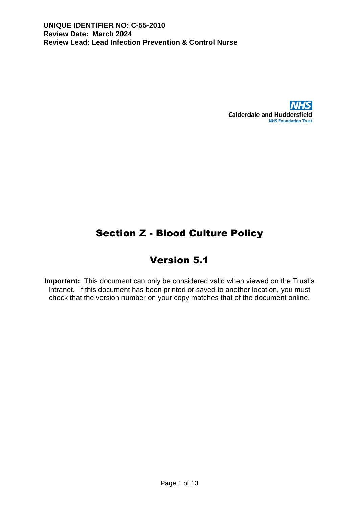

# Section Z - Blood Culture Policy

# Version 5.1

**Important:** This document can only be considered valid when viewed on the Trust's Intranet. If this document has been printed or saved to another location, you must check that the version number on your copy matches that of the document online.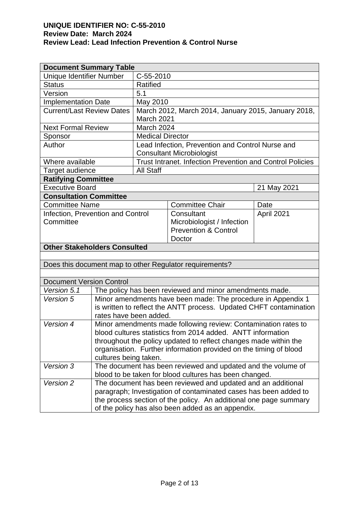| <b>Document Summary Table</b>                                      |                                                                                              |                                                                                                                                                                                                                                                                                                                                                                                                                                       |  |  |  |  |  |
|--------------------------------------------------------------------|----------------------------------------------------------------------------------------------|---------------------------------------------------------------------------------------------------------------------------------------------------------------------------------------------------------------------------------------------------------------------------------------------------------------------------------------------------------------------------------------------------------------------------------------|--|--|--|--|--|
| C-55-2010                                                          |                                                                                              |                                                                                                                                                                                                                                                                                                                                                                                                                                       |  |  |  |  |  |
| <b>Ratified</b>                                                    |                                                                                              |                                                                                                                                                                                                                                                                                                                                                                                                                                       |  |  |  |  |  |
| 5.1                                                                |                                                                                              |                                                                                                                                                                                                                                                                                                                                                                                                                                       |  |  |  |  |  |
|                                                                    |                                                                                              |                                                                                                                                                                                                                                                                                                                                                                                                                                       |  |  |  |  |  |
|                                                                    |                                                                                              |                                                                                                                                                                                                                                                                                                                                                                                                                                       |  |  |  |  |  |
|                                                                    | March 2021                                                                                   |                                                                                                                                                                                                                                                                                                                                                                                                                                       |  |  |  |  |  |
|                                                                    |                                                                                              |                                                                                                                                                                                                                                                                                                                                                                                                                                       |  |  |  |  |  |
|                                                                    |                                                                                              |                                                                                                                                                                                                                                                                                                                                                                                                                                       |  |  |  |  |  |
| Lead Infection, Prevention and Control Nurse and                   |                                                                                              |                                                                                                                                                                                                                                                                                                                                                                                                                                       |  |  |  |  |  |
| <b>Consultant Microbiologist</b>                                   |                                                                                              |                                                                                                                                                                                                                                                                                                                                                                                                                                       |  |  |  |  |  |
|                                                                    |                                                                                              |                                                                                                                                                                                                                                                                                                                                                                                                                                       |  |  |  |  |  |
|                                                                    |                                                                                              |                                                                                                                                                                                                                                                                                                                                                                                                                                       |  |  |  |  |  |
|                                                                    |                                                                                              |                                                                                                                                                                                                                                                                                                                                                                                                                                       |  |  |  |  |  |
|                                                                    |                                                                                              | 21 May 2021                                                                                                                                                                                                                                                                                                                                                                                                                           |  |  |  |  |  |
|                                                                    |                                                                                              |                                                                                                                                                                                                                                                                                                                                                                                                                                       |  |  |  |  |  |
|                                                                    | <b>Committee Chair</b>                                                                       | Date                                                                                                                                                                                                                                                                                                                                                                                                                                  |  |  |  |  |  |
|                                                                    | Consultant                                                                                   | April 2021                                                                                                                                                                                                                                                                                                                                                                                                                            |  |  |  |  |  |
|                                                                    |                                                                                              |                                                                                                                                                                                                                                                                                                                                                                                                                                       |  |  |  |  |  |
|                                                                    |                                                                                              |                                                                                                                                                                                                                                                                                                                                                                                                                                       |  |  |  |  |  |
|                                                                    |                                                                                              |                                                                                                                                                                                                                                                                                                                                                                                                                                       |  |  |  |  |  |
|                                                                    |                                                                                              |                                                                                                                                                                                                                                                                                                                                                                                                                                       |  |  |  |  |  |
|                                                                    |                                                                                              |                                                                                                                                                                                                                                                                                                                                                                                                                                       |  |  |  |  |  |
|                                                                    |                                                                                              |                                                                                                                                                                                                                                                                                                                                                                                                                                       |  |  |  |  |  |
|                                                                    |                                                                                              |                                                                                                                                                                                                                                                                                                                                                                                                                                       |  |  |  |  |  |
|                                                                    |                                                                                              |                                                                                                                                                                                                                                                                                                                                                                                                                                       |  |  |  |  |  |
| The policy has been reviewed and minor amendments made.            |                                                                                              |                                                                                                                                                                                                                                                                                                                                                                                                                                       |  |  |  |  |  |
| Minor amendments have been made: The procedure in Appendix 1       |                                                                                              |                                                                                                                                                                                                                                                                                                                                                                                                                                       |  |  |  |  |  |
| is written to reflect the ANTT process. Updated CHFT contamination |                                                                                              |                                                                                                                                                                                                                                                                                                                                                                                                                                       |  |  |  |  |  |
| rates have been added.<br>Version 4                                |                                                                                              |                                                                                                                                                                                                                                                                                                                                                                                                                                       |  |  |  |  |  |
| Minor amendments made following review: Contamination rates to     |                                                                                              |                                                                                                                                                                                                                                                                                                                                                                                                                                       |  |  |  |  |  |
| blood cultures statistics from 2014 added. ANTT information        |                                                                                              |                                                                                                                                                                                                                                                                                                                                                                                                                                       |  |  |  |  |  |
| throughout the policy updated to reflect changes made within the   |                                                                                              |                                                                                                                                                                                                                                                                                                                                                                                                                                       |  |  |  |  |  |
| organisation. Further information provided on the timing of blood  |                                                                                              |                                                                                                                                                                                                                                                                                                                                                                                                                                       |  |  |  |  |  |
| cultures being taken.                                              |                                                                                              |                                                                                                                                                                                                                                                                                                                                                                                                                                       |  |  |  |  |  |
| The document has been reviewed and updated and the volume of       |                                                                                              |                                                                                                                                                                                                                                                                                                                                                                                                                                       |  |  |  |  |  |
|                                                                    |                                                                                              |                                                                                                                                                                                                                                                                                                                                                                                                                                       |  |  |  |  |  |
| paragraph; Investigation of contaminated cases has been added to   |                                                                                              |                                                                                                                                                                                                                                                                                                                                                                                                                                       |  |  |  |  |  |
| the process section of the policy. An additional one page summary  |                                                                                              |                                                                                                                                                                                                                                                                                                                                                                                                                                       |  |  |  |  |  |
|                                                                    | of the policy has also been added as an appendix.                                            |                                                                                                                                                                                                                                                                                                                                                                                                                                       |  |  |  |  |  |
|                                                                    | <b>All Staff</b><br>Infection, Prevention and Control<br><b>Other Stakeholders Consulted</b> | May 2010<br>March 2012, March 2014, January 2015, January 2018,<br>March 2024<br><b>Medical Director</b><br>Trust Intranet. Infection Prevention and Control Policies<br>Microbiologist / Infection<br><b>Prevention &amp; Control</b><br>Doctor<br>Does this document map to other Regulator requirements?<br>blood to be taken for blood cultures has been changed.<br>The document has been reviewed and updated and an additional |  |  |  |  |  |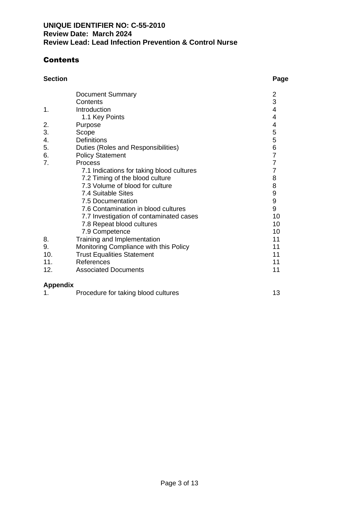# **Contents**

## **Section Page**

|                | <b>Document Summary</b>                   | $\overline{2}$ |
|----------------|-------------------------------------------|----------------|
|                | Contents                                  | 3              |
| 1.             | Introduction                              | 4              |
|                | 1.1 Key Points                            | 4              |
| 2.             | Purpose                                   | 4              |
| 3.             | Scope                                     | 5              |
| 4.             | <b>Definitions</b>                        | 5              |
| 5.             | Duties (Roles and Responsibilities)       | 6              |
| 6.             | <b>Policy Statement</b>                   | $\overline{7}$ |
| 7 <sub>1</sub> | Process                                   | $\overline{7}$ |
|                | 7.1 Indications for taking blood cultures | 7              |
|                | 7.2 Timing of the blood culture           | 8              |
|                | 7.3 Volume of blood for culture           | 8              |
|                | 7.4 Suitable Sites                        |                |
|                | 7.5 Documentation                         | 9<br>9         |
|                | 7.6 Contamination in blood cultures       | 9              |
|                | 7.7 Investigation of contaminated cases   | 10             |
|                | 7.8 Repeat blood cultures                 | 10             |
|                | 7.9 Competence                            | 10             |
| 8.             | Training and Implementation               | 11             |
| 9.             | Monitoring Compliance with this Policy    | 11             |
| 10.            | <b>Trust Equalities Statement</b>         | 11             |
| 11.            | References                                | 11             |
| 12.            | <b>Associated Documents</b>               | 11             |
|                |                                           |                |
|                |                                           |                |

## **Appendix**

| Procedure for taking blood cultures |  |
|-------------------------------------|--|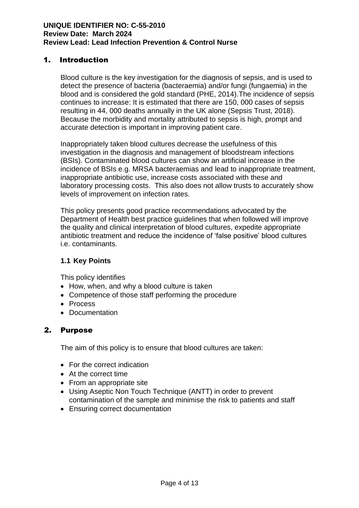## 1. Introduction

Blood culture is the key investigation for the diagnosis of sepsis, and is used to detect the presence of bacteria (bacteraemia) and/or fungi (fungaemia) in the blood and is considered the gold standard (PHE, 2014).The incidence of sepsis continues to increase: It is estimated that there are 150, 000 cases of sepsis resulting in 44, 000 deaths annually in the UK alone (Sepsis Trust, 2018). Because the morbidity and mortality attributed to sepsis is high, prompt and accurate detection is important in improving patient care.

Inappropriately taken blood cultures decrease the usefulness of this investigation in the diagnosis and management of bloodstream infections (BSIs). Contaminated blood cultures can show an artificial increase in the incidence of BSIs e.g. MRSA bacteraemias and lead to inappropriate treatment, inappropriate antibiotic use, increase costs associated with these and laboratory processing costs. This also does not allow trusts to accurately show levels of improvement on infection rates.

This policy presents good practice recommendations advocated by the Department of Health best practice guidelines that when followed will improve the quality and clinical interpretation of blood cultures, expedite appropriate antibiotic treatment and reduce the incidence of 'false positive' blood cultures i.e. contaminants.

## **1.1 Key Points**

This policy identifies

- How, when, and why a blood culture is taken
- Competence of those staff performing the procedure
- Process
- Documentation

## 2. Purpose

The aim of this policy is to ensure that blood cultures are taken:

- For the correct indication
- At the correct time
- From an appropriate site
- Using Aseptic Non Touch Technique (ANTT) in order to prevent contamination of the sample and minimise the risk to patients and staff
- Ensuring correct documentation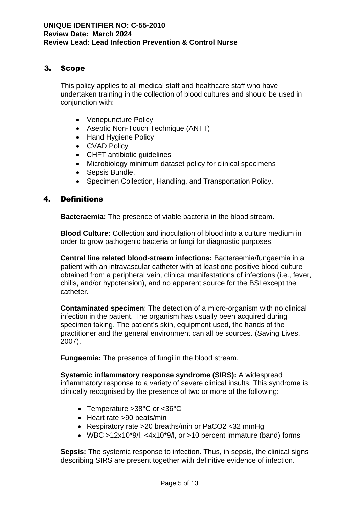## 3. Scope

This policy applies to all medical staff and healthcare staff who have undertaken training in the collection of blood cultures and should be used in conjunction with:

- Venepuncture Policy
- Aseptic Non-Touch Technique (ANTT)
- Hand Hygiene Policy
- CVAD Policy
- CHFT antibiotic guidelines
- Microbiology minimum dataset policy for clinical specimens
- Sepsis Bundle.
- Specimen Collection, Handling, and Transportation Policy.

## 4. Definitions

**Bacteraemia:** The presence of viable bacteria in the blood stream.

**Blood Culture:** Collection and inoculation of blood into a culture medium in order to grow pathogenic bacteria or fungi for diagnostic purposes.

**Central line related blood-stream infections:** Bacteraemia/fungaemia in a patient with an intravascular catheter with at least one positive blood culture obtained from a peripheral vein, clinical manifestations of infections (i.e., fever, chills, and/or hypotension), and no apparent source for the BSI except the catheter.

**Contaminated specimen**: The detection of a micro-organism with no clinical infection in the patient. The organism has usually been acquired during specimen taking. The patient's skin, equipment used, the hands of the practitioner and the general environment can all be sources. (Saving Lives, 2007).

**Fungaemia:** The presence of fungi in the blood stream.

**Systemic inflammatory response syndrome (SIRS):** A widespread inflammatory response to a variety of severe clinical insults. This syndrome is clinically recognised by the presence of two or more of the following:

- Temperature >38°C or <36°C
- Heart rate >90 beats/min
- Respiratory rate >20 breaths/min or PaCO2 <32 mmHg
- WBC >12x10\*9/l, <4x10\*9/l, or >10 percent immature (band) forms

**Sepsis:** The systemic response to infection. Thus, in sepsis, the clinical signs describing SIRS are present together with definitive evidence of infection.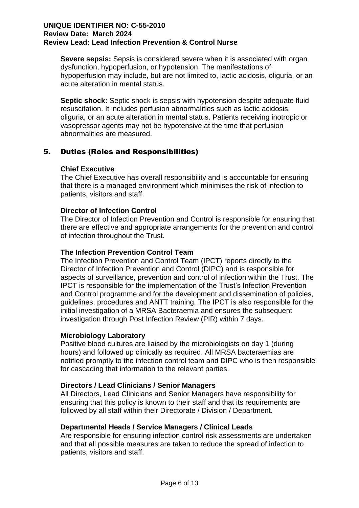**Severe sepsis:** Sepsis is considered severe when it is associated with organ dysfunction, hypoperfusion, or hypotension. The manifestations of hypoperfusion may include, but are not limited to, lactic acidosis, oliguria, or an acute alteration in mental status.

**Septic shock:** Septic shock is sepsis with hypotension despite adequate fluid resuscitation. It includes perfusion abnormalities such as lactic acidosis, oliguria, or an acute alteration in mental status. Patients receiving inotropic or vasopressor agents may not be hypotensive at the time that perfusion abnormalities are measured.

# 5. Duties (Roles and Responsibilities)

## **Chief Executive**

The Chief Executive has overall responsibility and is accountable for ensuring that there is a managed environment which minimises the risk of infection to patients, visitors and staff.

## **Director of Infection Control**

The Director of Infection Prevention and Control is responsible for ensuring that there are effective and appropriate arrangements for the prevention and control of infection throughout the Trust.

#### **The Infection Prevention Control Team**

The Infection Prevention and Control Team (IPCT) reports directly to the Director of Infection Prevention and Control (DIPC) and is responsible for aspects of surveillance, prevention and control of infection within the Trust. The IPCT is responsible for the implementation of the Trust's Infection Prevention and Control programme and for the development and dissemination of policies, guidelines, procedures and ANTT training. The IPCT is also responsible for the initial investigation of a MRSA Bacteraemia and ensures the subsequent investigation through Post Infection Review (PIR) within 7 days.

## **Microbiology Laboratory**

Positive blood cultures are liaised by the microbiologists on day 1 (during hours) and followed up clinically as required. All MRSA bacteraemias are notified promptly to the infection control team and DIPC who is then responsible for cascading that information to the relevant parties.

## **Directors / Lead Clinicians / Senior Managers**

All Directors, Lead Clinicians and Senior Managers have responsibility for ensuring that this policy is known to their staff and that its requirements are followed by all staff within their Directorate / Division / Department.

## **Departmental Heads / Service Managers / Clinical Leads**

Are responsible for ensuring infection control risk assessments are undertaken and that all possible measures are taken to reduce the spread of infection to patients, visitors and staff.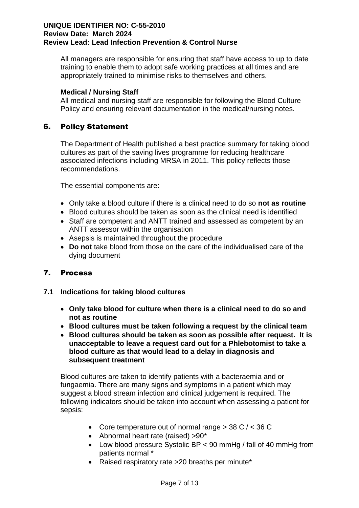All managers are responsible for ensuring that staff have access to up to date training to enable them to adopt safe working practices at all times and are appropriately trained to minimise risks to themselves and others.

## **Medical / Nursing Staff**

All medical and nursing staff are responsible for following the Blood Culture Policy and ensuring relevant documentation in the medical/nursing notes.

# 6. Policy Statement

The Department of Health published a best practice summary for taking blood cultures as part of the saving lives programme for reducing healthcare associated infections including MRSA in 2011. This policy reflects those recommendations.

The essential components are:

- Only take a blood culture if there is a clinical need to do so **not as routine**
- Blood cultures should be taken as soon as the clinical need is identified
- Staff are competent and ANTT trained and assessed as competent by an ANTT assessor within the organisation
- Asepsis is maintained throughout the procedure
- **Do not** take blood from those on the care of the individualised care of the dying document

# 7. Process

## **7.1 Indications for taking blood cultures**

- **Only take blood for culture when there is a clinical need to do so and not as routine**
- **Blood cultures must be taken following a request by the clinical team**
- **Blood cultures should be taken as soon as possible after request. It is unacceptable to leave a request card out for a Phlebotomist to take a blood culture as that would lead to a delay in diagnosis and subsequent treatment**

Blood cultures are taken to identify patients with a bacteraemia and or fungaemia. There are many signs and symptoms in a patient which may suggest a blood stream infection and clinical judgement is required. The following indicators should be taken into account when assessing a patient for sepsis:

- Core temperature out of normal range > 38 C / < 36 C
- Abnormal heart rate (raised) >90\*
- Low blood pressure Systolic BP < 90 mmHg / fall of 40 mmHg from patients normal \*
- Raised respiratory rate > 20 breaths per minute\*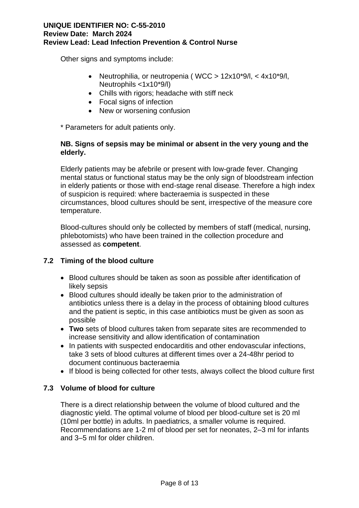Other signs and symptoms include:

- Neutrophilia, or neutropenia ( WCC > 12x10\*9/l, < 4x10\*9/l, Neutrophils <1x10\*9/l)
- Chills with rigors; headache with stiff neck
- Focal signs of infection
- New or worsening confusion

\* Parameters for adult patients only.

## **NB. Signs of sepsis may be minimal or absent in the very young and the elderly.**

Elderly patients may be afebrile or present with low-grade fever. Changing mental status or functional status may be the only sign of bloodstream infection in elderly patients or those with end-stage renal disease. Therefore a high index of suspicion is required: where bacteraemia is suspected in these circumstances, blood cultures should be sent, irrespective of the measure core temperature.

Blood-cultures should only be collected by members of staff (medical, nursing, phlebotomists) who have been trained in the collection procedure and assessed as **competent**.

## **7.2 Timing of the blood culture**

- Blood cultures should be taken as soon as possible after identification of likely sepsis
- Blood cultures should ideally be taken prior to the administration of antibiotics unless there is a delay in the process of obtaining blood cultures and the patient is septic, in this case antibiotics must be given as soon as possible
- **Two** sets of blood cultures taken from separate sites are recommended to increase sensitivity and allow identification of contamination
- In patients with suspected endocarditis and other endovascular infections, take 3 sets of blood cultures at different times over a 24-48hr period to document continuous bacteraemia
- If blood is being collected for other tests, always collect the blood culture first

## **7.3 Volume of blood for culture**

There is a direct relationship between the volume of blood cultured and the diagnostic yield. The optimal volume of blood per blood-culture set is 20 ml (10ml per bottle) in adults. In paediatrics, a smaller volume is required. Recommendations are 1-2 ml of blood per set for neonates, 2–3 ml for infants and 3–5 ml for older children.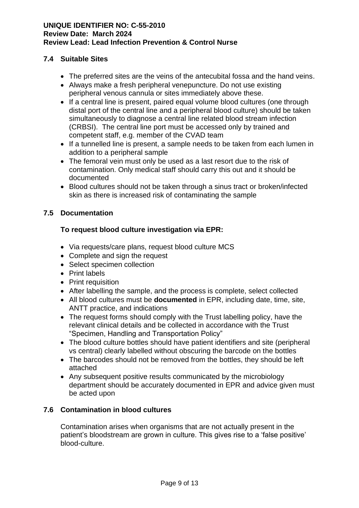## **7.4 Suitable Sites**

- The preferred sites are the veins of the antecubital fossa and the hand veins.
- Always make a fresh peripheral venepuncture. Do not use existing peripheral venous cannula or sites immediately above these.
- If a central line is present, paired equal volume blood cultures (one through distal port of the central line and a peripheral blood culture) should be taken simultaneously to diagnose a central line related blood stream infection (CRBSI). The central line port must be accessed only by trained and competent staff, e.g. member of the CVAD team
- If a tunnelled line is present, a sample needs to be taken from each lumen in addition to a peripheral sample
- The femoral vein must only be used as a last resort due to the risk of contamination. Only medical staff should carry this out and it should be documented
- Blood cultures should not be taken through a sinus tract or broken/infected skin as there is increased risk of contaminating the sample

#### **7.5 Documentation**

## **To request blood culture investigation via EPR:**

- Via requests/care plans, request blood culture MCS
- Complete and sign the request
- Select specimen collection
- Print labels
- Print requisition
- After labelling the sample, and the process is complete, select collected
- All blood cultures must be **documented** in EPR, including date, time, site, ANTT practice, and indications
- The request forms should comply with the Trust labelling policy, have the relevant clinical details and be collected in accordance with the Trust "Specimen, Handling and Transportation Policy"
- The blood culture bottles should have patient identifiers and site (peripheral vs central) clearly labelled without obscuring the barcode on the bottles
- The barcodes should not be removed from the bottles, they should be left attached
- Any subsequent positive results communicated by the microbiology department should be accurately documented in EPR and advice given must be acted upon

## **7.6 Contamination in blood cultures**

Contamination arises when organisms that are not actually present in the patient's bloodstream are grown in culture. This gives rise to a 'false positive' blood-culture.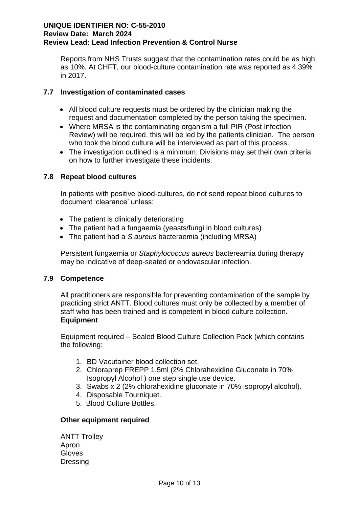Reports from NHS Trusts suggest that the contamination rates could be as high as 10%. At CHFT, our blood-culture contamination rate was reported as 4.39% in 2017.

## **7.7 Investigation of contaminated cases**

- All blood culture requests must be ordered by the clinician making the request and documentation completed by the person taking the specimen.
- Where MRSA is the contaminating organism a full PIR (Post Infection Review) will be required, this will be led by the patients clinician. The person who took the blood culture will be interviewed as part of this process.
- The investigation outlined is a minimum; Divisions may set their own criteria on how to further investigate these incidents.

## **7.8 Repeat blood cultures**

In patients with positive blood-cultures, do not send repeat blood cultures to document 'clearance' unless:

- The patient is clinically deteriorating
- The patient had a fungaemia (veasts/fungi in blood cultures)
- The patient had a *S.aureus* bacteraemia (including MRSA)

Persistent fungaemia or *Staphylococcus aureus* bactereamia during therapy may be indicative of deep-seated or endovascular infection.

#### **7.9 Competence**

All practitioners are responsible for preventing contamination of the sample by practicing strict ANTT. Blood cultures must only be collected by a member of staff who has been trained and is competent in blood culture collection. **Equipment**

Equipment required – Sealed Blood Culture Collection Pack (which contains the following:

- 1. BD Vacutainer blood collection set.
- 2. Chloraprep FREPP 1.5ml (2% Chlorahexidine Gluconate in 70% Isopropyl Alcohol ) one step single use device.
- 3. Swabs x 2 (2% chlorahexidine gluconate in 70% isopropyl alcohol).
- 4. Disposable Tourniquet.
- 5. Blood Culture Bottles.

## **Other equipment required**

ANTT Trolley Apron Gloves **Dressing**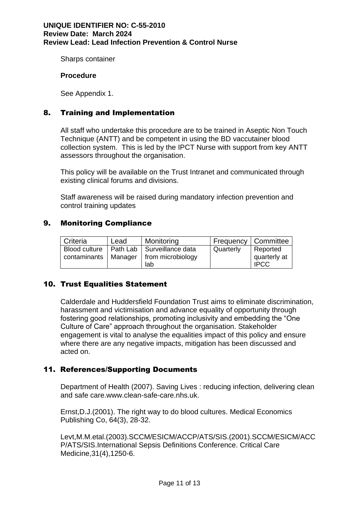Sharps container

#### **Procedure**

See Appendix 1.

## 8. Training and Implementation

All staff who undertake this procedure are to be trained in Aseptic Non Touch Technique (ANTT) and be competent in using the BD vaccutainer blood collection system. This is led by the IPCT Nurse with support from key ANTT assessors throughout the organisation.

This policy will be available on the Trust Intranet and communicated through existing clinical forums and divisions.

Staff awareness will be raised during mandatory infection prevention and control training updates

#### 9. Monitoring Compliance

| <sup>I</sup> Criteria | Lead | Monitoring                                   |           | Frequency   Committee |
|-----------------------|------|----------------------------------------------|-----------|-----------------------|
|                       |      | Blood culture   Path Lab   Surveillance data | Quarterly | Reported              |
|                       |      | contaminants   Manager   from microbiology   |           | quarterly at          |
|                       |      | lab                                          |           | <b>IPCC</b>           |

## 10. Trust Equalities Statement

Calderdale and Huddersfield Foundation Trust aims to eliminate discrimination, harassment and victimisation and advance equality of opportunity through fostering good relationships, promoting inclusivity and embedding the "One Culture of Care" approach throughout the organisation. Stakeholder engagement is vital to analyse the equalities impact of this policy and ensure where there are any negative impacts, mitigation has been discussed and acted on.

## 11. References/Supporting Documents

Department of Health (2007). Saving Lives : reducing infection, delivering clean and safe care.www.clean-safe-care.nhs.uk.

Ernst,D.J.(2001). The right way to do blood cultures. Medical Economics Publishing Co, 64(3), 28-32.

Levt,M.M.etal.(2003).SCCM/ESICM/ACCP/ATS/SIS.(2001).SCCM/ESICM/ACC P/ATS/SIS.International Sepsis Definitions Conference. Critical Care Medicine,31(4),1250-6.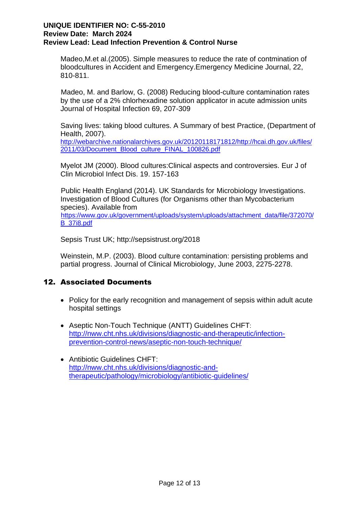Madeo,M.et al.(2005). Simple measures to reduce the rate of contmination of bloodcultures in Accident and Emergency.Emergency Medicine Journal, 22, 810-811.

Madeo, M. and Barlow, G. (2008) Reducing blood-culture contamination rates by the use of a 2% chlorhexadine solution applicator in acute admission units Journal of Hospital Infection 69, 207-309

Saving lives: taking blood cultures. A Summary of best Practice, (Department of Health, 2007). [http://webarchive.nationalarchives.gov.uk/20120118171812/http://hcai.dh.gov.uk/files/](http://webarchive.nationalarchives.gov.uk/20120118171812/http:/hcai.dh.gov.uk/files/2011/03/Document_Blood_culture_FINAL_100826.pdf) [2011/03/Document\\_Blood\\_culture\\_FINAL\\_100826.pdf](http://webarchive.nationalarchives.gov.uk/20120118171812/http:/hcai.dh.gov.uk/files/2011/03/Document_Blood_culture_FINAL_100826.pdf)

Myelot JM (2000). Blood cultures:Clinical aspects and controversies. Eur J of Clin Microbiol Infect Dis. 19. 157-163

Public Health England (2014). UK Standards for Microbiology Investigations. Investigation of Blood Cultures (for Organisms other than Mycobacterium species). Available from [https://www.gov.uk/government/uploads/system/uploads/attachment\\_data/file/372070/](https://www.gov.uk/government/uploads/system/uploads/attachment_data/file/372070/B_37i8.pdf) [B\\_37i8.pdf](https://www.gov.uk/government/uploads/system/uploads/attachment_data/file/372070/B_37i8.pdf)

Sepsis Trust UK; http://sepsistrust.org/2018

Weinstein, M.P. (2003). Blood culture contamination: persisting problems and partial progress. Journal of Clinical Microbiology, June 2003, 2275-2278.

## 12. Associated Documents

- Policy for the early recognition and management of sepsis within adult acute hospital settings
- Aseptic Non-Touch Technique (ANTT) Guidelines CHFT: [http://nww.cht.nhs.uk/divisions/diagnostic-and-therapeutic/infection](http://nww.cht.nhs.uk/divisions/diagnostic-and-therapeutic/infection-prevention-control-news/aseptic-non-touch-technique/)[prevention-control-news/aseptic-non-touch-technique/](http://nww.cht.nhs.uk/divisions/diagnostic-and-therapeutic/infection-prevention-control-news/aseptic-non-touch-technique/)
- Antibiotic Guidelines CHFT: [http://nww.cht.nhs.uk/divisions/diagnostic-and](http://nww.cht.nhs.uk/divisions/diagnostic-and-therapeutic/pathology/microbiology/antibiotic-guidelines/)[therapeutic/pathology/microbiology/antibiotic-guidelines/](http://nww.cht.nhs.uk/divisions/diagnostic-and-therapeutic/pathology/microbiology/antibiotic-guidelines/)